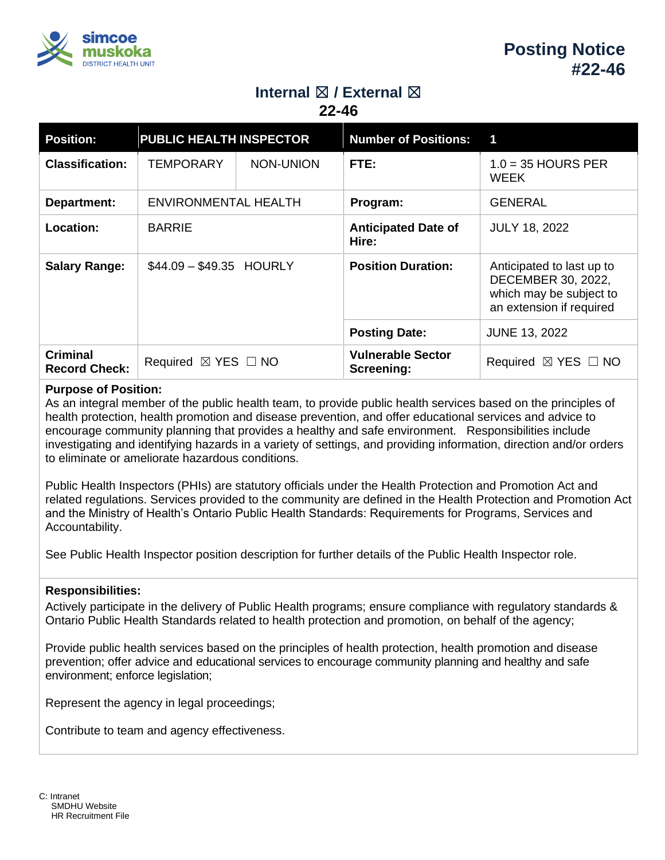

# **Internal ⊠ / External ⊠**

**22-46**

| <b>Position:</b>                        | <b>PUBLIC HEALTH INSPECTOR</b>     |           | <b>Number of Positions: 1</b>          |                                                                                                        |
|-----------------------------------------|------------------------------------|-----------|----------------------------------------|--------------------------------------------------------------------------------------------------------|
| <b>Classification:</b>                  | <b>TEMPORARY</b>                   | NON-UNION | FTE:                                   | $1.0 = 35$ HOURS PER<br><b>WEEK</b>                                                                    |
| Department:                             | ENVIRONMENTAL HEALTH               |           | Program:                               | <b>GENERAL</b>                                                                                         |
| Location:                               | <b>BARRIE</b>                      |           | <b>Anticipated Date of</b><br>Hire:    | <b>JULY 18, 2022</b>                                                                                   |
| <b>Salary Range:</b>                    | $$44.09 - $49.35$ HOURLY           |           | <b>Position Duration:</b>              | Anticipated to last up to<br>DECEMBER 30, 2022,<br>which may be subject to<br>an extension if required |
|                                         |                                    |           | <b>Posting Date:</b>                   | <b>JUNE 13, 2022</b>                                                                                   |
| <b>Criminal</b><br><b>Record Check:</b> | Required $\boxtimes$ YES $\Box$ NO |           | <b>Vulnerable Sector</b><br>Screening: | $\boxtimes$ YES $\Box$ NO<br>Required                                                                  |

# **Purpose of Position:**

As an integral member of the public health team, to provide public health services based on the principles of health protection, health promotion and disease prevention, and offer educational services and advice to encourage community planning that provides a healthy and safe environment. Responsibilities include investigating and identifying hazards in a variety of settings, and providing information, direction and/or orders to eliminate or ameliorate hazardous conditions.

Public Health Inspectors (PHIs) are statutory officials under the Health Protection and Promotion Act and related regulations. Services provided to the community are defined in the Health Protection and Promotion Act and the Ministry of Health's Ontario Public Health Standards: Requirements for Programs, Services and Accountability.

See Public Health Inspector position description for further details of the Public Health Inspector role.

### **Responsibilities:**

Actively participate in the delivery of Public Health programs; ensure compliance with regulatory standards & Ontario Public Health Standards related to health protection and promotion, on behalf of the agency;

Provide public health services based on the principles of health protection, health promotion and disease prevention; offer advice and educational services to encourage community planning and healthy and safe environment; enforce legislation;

Represent the agency in legal proceedings;

Contribute to team and agency effectiveness.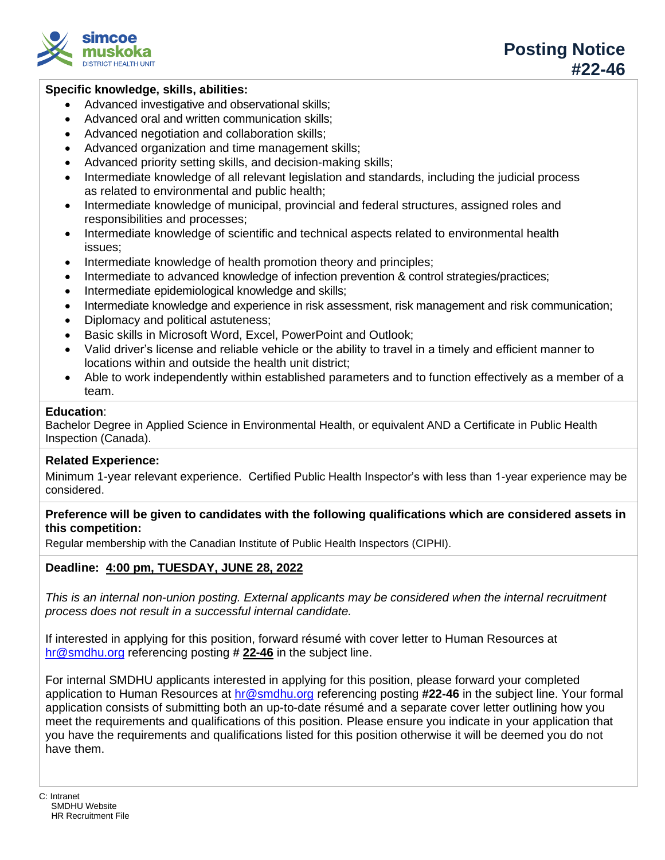

# **Specific knowledge, skills, abilities:**

- Advanced investigative and observational skills;
- Advanced oral and written communication skills;
- Advanced negotiation and collaboration skills;
- Advanced organization and time management skills;
- Advanced priority setting skills, and decision-making skills;
- Intermediate knowledge of all relevant legislation and standards, including the judicial process as related to environmental and public health;
- Intermediate knowledge of municipal, provincial and federal structures, assigned roles and responsibilities and processes;
- Intermediate knowledge of scientific and technical aspects related to environmental health issues;
- Intermediate knowledge of health promotion theory and principles;
- Intermediate to advanced knowledge of infection prevention & control strategies/practices;
- Intermediate epidemiological knowledge and skills;
- Intermediate knowledge and experience in risk assessment, risk management and risk communication;
- Diplomacy and political astuteness;
- Basic skills in Microsoft Word, Excel, PowerPoint and Outlook;
- Valid driver's license and reliable vehicle or the ability to travel in a timely and efficient manner to locations within and outside the health unit district;
- Able to work independently within established parameters and to function effectively as a member of a team.

### **Education**:

Bachelor Degree in Applied Science in Environmental Health, or equivalent AND a Certificate in Public Health Inspection (Canada).

# **Related Experience:**

Minimum 1-year relevant experience. Certified Public Health Inspector's with less than 1-year experience may be considered.

# **Preference will be given to candidates with the following qualifications which are considered assets in this competition:**

Regular membership with the Canadian Institute of Public Health Inspectors (CIPHI).

# **Deadline: 4:00 pm, TUESDAY, JUNE 28, 2022**

*This is an internal non-union posting. External applicants may be considered when the internal recruitment process does not result in a successful internal candidate.*

If interested in applying for this position, forward résumé with cover letter to Human Resources at [hr@smdhu.org](mailto:hr@smdhu.org) referencing posting **# 22-46** in the subject line.

For internal SMDHU applicants interested in applying for this position, please forward your completed application to Human Resources at [hr@smdhu.org](mailto:hr@smdhu.org) referencing posting **#22-46** in the subject line. Your formal application consists of submitting both an up-to-date résumé and a separate cover letter outlining how you meet the requirements and qualifications of this position. Please ensure you indicate in your application that you have the requirements and qualifications listed for this position otherwise it will be deemed you do not have them.